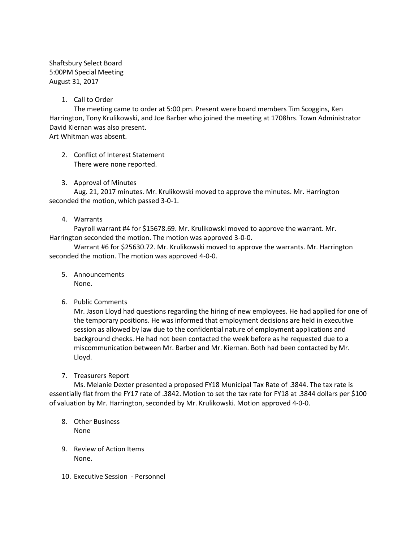Shaftsbury Select Board 5:00PM Special Meeting August 31, 2017

## 1. Call to Order

The meeting came to order at 5:00 pm. Present were board members Tim Scoggins, Ken Harrington, Tony Krulikowski, and Joe Barber who joined the meeting at 1708hrs. Town Administrator David Kiernan was also present.

Art Whitman was absent.

- 2. Conflict of Interest Statement There were none reported.
- 3. Approval of Minutes

Aug. 21, 2017 minutes. Mr. Krulikowski moved to approve the minutes. Mr. Harrington seconded the motion, which passed 3-0-1.

4. Warrants

Payroll warrant #4 for \$15678.69. Mr. Krulikowski moved to approve the warrant. Mr. Harrington seconded the motion. The motion was approved 3-0-0.

Warrant #6 for \$25630.72. Mr. Krulikowski moved to approve the warrants. Mr. Harrington seconded the motion. The motion was approved 4-0-0.

- 5. Announcements None.
- 6. Public Comments

Mr. Jason Lloyd had questions regarding the hiring of new employees. He had applied for one of the temporary positions. He was informed that employment decisions are held in executive session as allowed by law due to the confidential nature of employment applications and background checks. He had not been contacted the week before as he requested due to a miscommunication between Mr. Barber and Mr. Kiernan. Both had been contacted by Mr. Lloyd.

7. Treasurers Report

Ms. Melanie Dexter presented a proposed FY18 Municipal Tax Rate of .3844. The tax rate is essentially flat from the FY17 rate of .3842. Motion to set the tax rate for FY18 at .3844 dollars per \$100 of valuation by Mr. Harrington, seconded by Mr. Krulikowski. Motion approved 4-0-0.

- 8. Other Business None
- 9. Review of Action Items None.
- 10. Executive Session Personnel